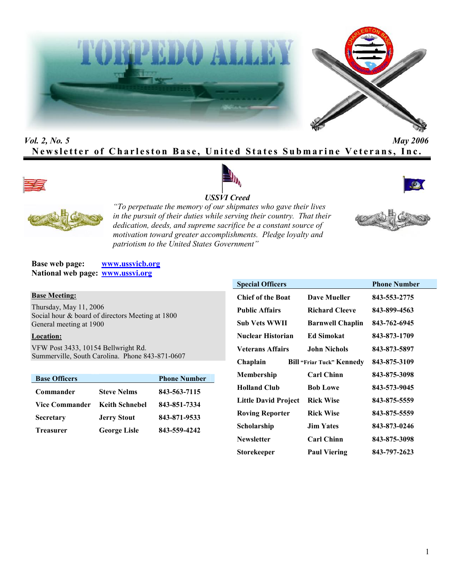



# *Vol. 2, No. 5 May 2006* **Newsletter of Charleston Base, United States Submarine Veterans, Inc.**









*"To perpetuate the memory of our shipmates who gave their lives in the pursuit of their duties while serving their country. That their dedication, deeds, and supreme sacrifice be a constant source of motivation toward greater accomplishments. Pledge loyalty and patriotism to the United States Government"*

**Base web page: www.ussvicb.org National web page: www.ussvi.org**

#### **Base Meeting:**

Thursday, May 11, 2006 Social hour & board of directors Meeting at 1800 General meeting at 1900

# **Location:**

VFW Post 3433, 10154 Bellwright Rd. Summerville, South Carolina. Phone 843-871-0607

| <b>Base Officers</b>  |                       | <b>Phone Number</b> |
|-----------------------|-----------------------|---------------------|
| Commander             | <b>Steve Nelms</b>    | 843-563-7115        |
| <b>Vice Commander</b> | <b>Keith Schnebel</b> | 843-851-7334        |
| <b>Secretary</b>      | <b>Jerry Stout</b>    | 843-871-9533        |
| <b>Treasurer</b>      | <b>George Lisle</b>   | 843-559-4242        |

| <b>Special Officers</b>     |                                  | <b>Phone Number</b> |
|-----------------------------|----------------------------------|---------------------|
| <b>Chief of the Boat</b>    | Dave Mueller                     | 843-553-2775        |
| <b>Public Affairs</b>       | <b>Richard Cleeve</b>            | 843-899-4563        |
| Sub Vets WWII               | <b>Barnwell Chaplin</b>          | 843-762-6945        |
| Nuclear Historian           | <b>Ed Simokat</b>                | 843-873-1709        |
| <b>Veterans Affairs</b>     | John Nichols                     | 843-873-5897        |
| Chaplain                    | <b>Bill "Friar Tuck" Kennedy</b> | 843-875-3109        |
| Membership                  | <b>Carl Chinn</b>                | 843-875-3098        |
| <b>Holland Club</b>         | <b>Bob Lowe</b>                  | 843-573-9045        |
| <b>Little David Project</b> | <b>Rick Wise</b>                 | 843-875-5559        |
| <b>Roving Reporter</b>      | <b>Rick Wise</b>                 | 843-875-5559        |
| Scholarship                 | <b>Jim Yates</b>                 | 843-873-0246        |
| <b>Newsletter</b>           | <b>Carl Chinn</b>                | 843-875-3098        |
| Storekeeper                 | <b>Paul Viering</b>              | 843-797-2623        |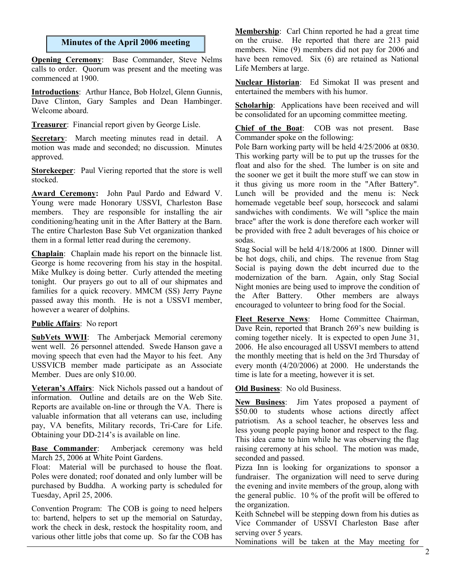# **Minutes of the April 2006 meeting**

**Opening Ceremony**: Base Commander, Steve Nelms calls to order. Quorum was present and the meeting was commenced at 1900.

**Introductions**: Arthur Hance, Bob Holzel, Glenn Gunnis, Dave Clinton, Gary Samples and Dean Hambinger. Welcome aboard.

**Treasurer**: Financial report given by George Lisle.

**Secretary**: March meeting minutes read in detail. A motion was made and seconded; no discussion. Minutes approved.

**Storekeeper**: Paul Viering reported that the store is well stocked.

**Award Ceremony:** John Paul Pardo and Edward V. Young were made Honorary USSVI, Charleston Base members. They are responsible for installing the air conditioning/heating unit in the After Battery at the Barn. The entire Charleston Base Sub Vet organization thanked them in a formal letter read during the ceremony.

**Chaplain**: Chaplain made his report on the binnacle list. George is home recovering from his stay in the hospital. Mike Mulkey is doing better. Curly attended the meeting tonight. Our prayers go out to all of our shipmates and families for a quick recovery. MMCM (SS) Jerry Payne passed away this month. He is not a USSVI member, however a wearer of dolphins.

### **Public Affairs**: No report

**SubVets WWII**: The Amberjack Memorial ceremony went well. 26 personnel attended. Swede Hanson gave a moving speech that even had the Mayor to his feet. Any USSVICB member made participate as an Associate Member. Dues are only \$10.00.

**Veteran's Affairs**: Nick Nichols passed out a handout of information. Outline and details are on the Web Site. Reports are available on-line or through the VA. There is valuable information that all veterans can use, including pay, VA benefits, Military records, Tri-Care for Life. Obtaining your DD-214's is available on line.

**Base Commander**: Amberjack ceremony was held March 25, 2006 at White Point Gardens.

Float: Material will be purchased to house the float. Poles were donated; roof donated and only lumber will be purchased by Buddha. A working party is scheduled for Tuesday, April 25, 2006.

Convention Program: The COB is going to need helpers to: bartend, helpers to set up the memorial on Saturday, work the check in desk, restock the hospitality room, and various other little jobs that come up. So far the COB has **Membership**: Carl Chinn reported he had a great time on the cruise. He reported that there are 213 paid members. Nine (9) members did not pay for 2006 and have been removed. Six (6) are retained as National Life Members at large.

**Nuclear Historian**: Ed Simokat II was present and entertained the members with his humor.

**Scholarhip**: Applications have been received and will be consolidated for an upcoming committee meeting.

**Chief of the Boat**: COB was not present. Base Commander spoke on the following:

Pole Barn working party will be held 4/25/2006 at 0830. This working party will be to put up the trusses for the float and also for the shed. The lumber is on site and the sooner we get it built the more stuff we can stow in it thus giving us more room in the "After Battery". Lunch will be provided and the menu is: Neck homemade vegetable beef soup, horsecock and salami sandwiches with condiments. We will "splice the main brace" after the work is done therefore each worker will be provided with free 2 adult beverages of his choice or sodas.

Stag Social will be held 4/18/2006 at 1800. Dinner will be hot dogs, chili, and chips. The revenue from Stag Social is paying down the debt incurred due to the modernization of the barn. Again, only Stag Social Night monies are being used to improve the condition of the After Battery. Other members are always encouraged to volunteer to bring food for the Social.

**Fleet Reserve News**: Home Committee Chairman, Dave Rein, reported that Branch 269's new building is coming together nicely. It is expected to open June 31, 2006. He also encouraged all USSVI members to attend the monthly meeting that is held on the 3rd Thursday of every month (4/20/2006) at 2000. He understands the time is late for a meeting, however it is set.

### **Old Business**: No old Business.

**New Business**: Jim Yates proposed a payment of \$50.00 to students whose actions directly affect patriotism. As a school teacher, he observes less and less young people paying honor and respect to the flag. This idea came to him while he was observing the flag raising ceremony at his school. The motion was made, seconded and passed.

Pizza Inn is looking for organizations to sponsor a fundraiser. The organization will need to serve during the evening and invite members of the group, along with the general public. 10 % of the profit will be offered to the organization.

Keith Schnebel will be stepping down from his duties as Vice Commander of USSVI Charleston Base after serving over 5 years.

Nominations will be taken at the May meeting for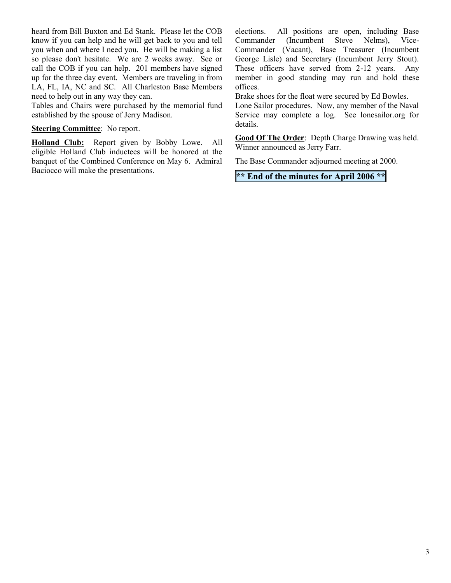heard from Bill Buxton and Ed Stank. Please let the COB know if you can help and he will get back to you and tell you when and where I need you. He will be making a list so please don't hesitate. We are 2 weeks away. See or call the COB if you can help. 201 members have signed up for the three day event. Members are traveling in from LA, FL, IA, NC and SC. All Charleston Base Members need to help out in any way they can.

Tables and Chairs were purchased by the memorial fund established by the spouse of Jerry Madison.

#### **Steering Committee**: No report.

**Holland Club:** Report given by Bobby Lowe. All eligible Holland Club inductees will be honored at the banquet of the Combined Conference on May 6. Admiral Baciocco will make the presentations.

elections. All positions are open, including Base<br>Commander (Incumbent Steve Nelms), Vice-Commander (Incumbent Steve Nelms), Vice-Commander (Vacant), Base Treasurer (Incumbent George Lisle) and Secretary (Incumbent Jerry Stout). These officers have served from 2-12 years. Any member in good standing may run and hold these offices.

Brake shoes for the float were secured by Ed Bowles.

Lone Sailor procedures. Now, any member of the Naval Service may complete a log. See lonesailor.org for details.

**Good Of The Order**: Depth Charge Drawing was held. Winner announced as Jerry Farr.

The Base Commander adjourned meeting at 2000.

**\*\* End of the minutes for April 2006 \*\***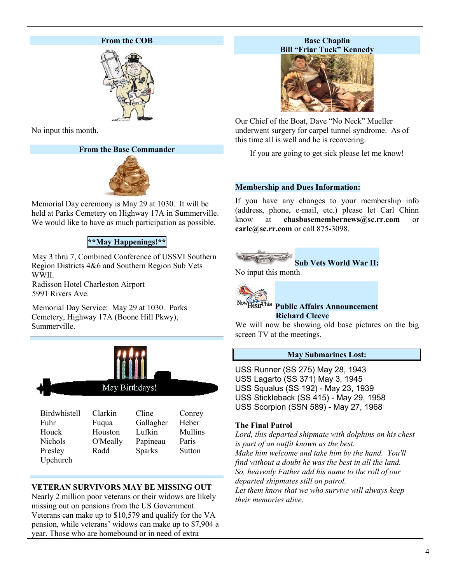# **From the COB**



No input this month.

# **From the Base Commander**



Memorial Day ceremony is May 29 at 1030. It will be held at Parks Cemetery on Highway 17A in Summerville. We would like to have as much participation as possible.

# **\*\*May Happenings!\*\***

May 3 thru 7, Combined Conference of USSVI Southern Region Districts 4&6 and Southern Region Sub Vets WWII.

Radisson Hotel Charleston Airport 5991 Rivers Ave.

Memorial Day Service: May 29 at 1030. Parks Cemetery, Highway 17A (Boone Hill Pkwy), Summerville.



| -------------- |          |               | $\sim$ $\sim$ $\sim$ $\sim$ $\sim$ |
|----------------|----------|---------------|------------------------------------|
| Fuhr           | Fuqua    | Gallagher     | Heber                              |
| Houck          | Houston  | Lufkin        | Mullins                            |
| <b>Nichols</b> | O'Meally | Papineau      | Paris                              |
| Presley        | Radd     | <b>Sparks</b> | Sutton                             |
| Upchurch       |          |               |                                    |

# **VETERAN SURVIVORS MAY BE MISSING OUT**

Nearly 2 million poor veterans or their widows are likely missing out on pensions from the US Government. Veterans can make up to \$10,579 and qualify for the VA pension, while veterans' widows can make up to \$7,904 a year. Those who are homebound or in need of extra

# **Base Chaplin Bill "Friar Tuck" Kennedy**



Our Chief of the Boat, Dave "No Neck" Mueller underwent surgery for carpel tunnel syndrome. As of this time all is well and he is recovering.

If you are going to get sick please let me know!

# **Membership and Dues Information:**

If you have any changes to your membership info (address, phone, e-mail, etc.) please let Carl Chinn know at **chasbasemembernews@sc.rr.com** or **carlc@sc.rr.com** or call 875-3098.



**Sub Vets World War II:**

No input this month



### **Public Affairs Announcement Richard Cleeve**

We will now be showing old base pictures on the big screen TV at the meetings.

### **May Submarines Lost:**

USS Runner (SS 275) May 28, 1943 USS Lagarto (SS 371) May 3, 1945 USS Squalus (SS 192) - May 23, 1939 USS Stickleback (SS 415) - May 29, 1958 USS Scorpion (SSN 589) - May 27, 1968

# **The Final Patrol**

*Lord, this departed shipmate with dolphins on his chest is part of an outfit known as the best. Make him welcome and take him by the hand. You'll find without a doubt he was the best in all the land. So, heavenly Father add his name to the roll of our departed shipmates still on patrol. Let them know that we who survive will always keep their memories alive.*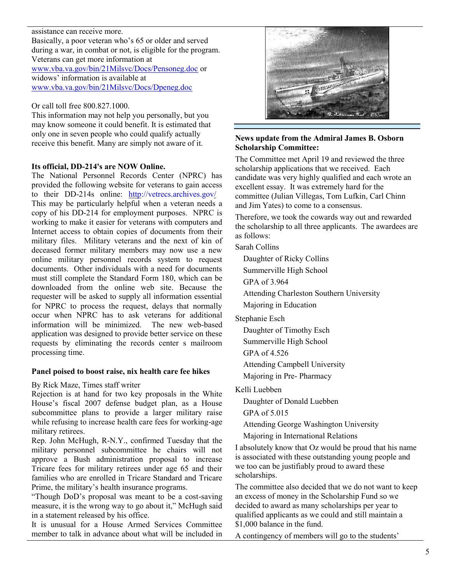#### assistance can receive more.

Basically, a poor veteran who's 65 or older and served during a war, in combat or not, is eligible for the program. Veterans can get more information at www.vba.va.gov/bin/21Milsvc/Docs/Pensoneg.doc or widows' information is available at www.vba.va.gov/bin/21Milsvc/Docs/Dpeneg.doc

Or call toll free 800.827.1000.

This information may not help you personally, but you may know someone it could benefit. It is estimated that only one in seven people who could qualify actually receive this benefit. Many are simply not aware of it.

### **Its official, DD-214's are NOW Online.**

The National Personnel Records Center (NPRC) has provided the following website for veterans to gain access to their DD-214s online: http://vetrecs.archives.gov/ This may be particularly helpful when a veteran needs a copy of his DD-214 for employment purposes. NPRC is working to make it easier for veterans with computers and Internet access to obtain copies of documents from their military files. Military veterans and the next of kin of deceased former military members may now use a new online military personnel records system to request documents. Other individuals with a need for documents must still complete the Standard Form 180, which can be downloaded from the online web site. Because the requester will be asked to supply all information essential for NPRC to process the request, delays that normally occur when NPRC has to ask veterans for additional information will be minimized. The new web-based application was designed to provide better service on these requests by eliminating the records center s mailroom processing time.

### **Panel poised to boost raise, nix health care fee hikes**

By Rick Maze, Times staff writer

Rejection is at hand for two key proposals in the White House's fiscal 2007 defense budget plan, as a House subcommittee plans to provide a larger military raise while refusing to increase health care fees for working-age military retirees.

Rep. John McHugh, R-N.Y., confirmed Tuesday that the military personnel subcommittee he chairs will not approve a Bush administration proposal to increase Tricare fees for military retirees under age 65 and their families who are enrolled in Tricare Standard and Tricare Prime, the military's health insurance programs.

"Though DoD's proposal was meant to be a cost-saving measure, it is the wrong way to go about it," McHugh said in a statement released by his office.

It is unusual for a House Armed Services Committee member to talk in advance about what will be included in



# **News update from the Admiral James B. Osborn Scholarship Committee:**

The Committee met April 19 and reviewed the three scholarship applications that we received. Each candidate was very highly qualified and each wrote an excellent essay. It was extremely hard for the committee (Julian Villegas, Tom Lufkin, Carl Chinn and Jim Yates) to come to a consensus.

Therefore, we took the cowards way out and rewarded the scholarship to all three applicants. The awardees are as follows:

Sarah Collins

Daughter of Ricky Collins

Summerville High School

GPA of 3.964

Attending Charleston Southern University

Majoring in Education

Stephanie Esch

Daughter of Timothy Esch

Summerville High School

GPA of 4.526

Attending Campbell University

Majoring in Pre- Pharmacy

Kelli Luebben

Daughter of Donald Luebben

GPA of 5.015

Attending George Washington University

Majoring in International Relations

I absolutely know that Oz would be proud that his name is associated with these outstanding young people and we too can be justifiably proud to award these scholarships.

The committee also decided that we do not want to keep an excess of money in the Scholarship Fund so we decided to award as many scholarships per year to qualified applicants as we could and still maintain a \$1,000 balance in the fund.

A contingency of members will go to the students'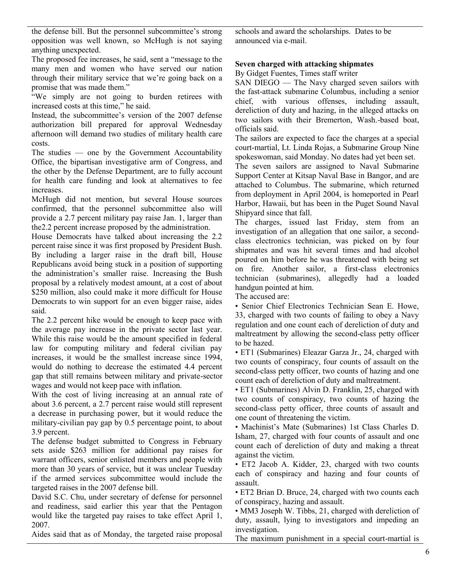the defense bill. But the personnel subcommittee's strong opposition was well known, so McHugh is not saying anything unexpected.

The proposed fee increases, he said, sent a "message to the many men and women who have served our nation through their military service that we're going back on a promise that was made them."

"We simply are not going to burden retirees with increased costs at this time," he said.

Instead, the subcommittee's version of the 2007 defense authorization bill prepared for approval Wednesday afternoon will demand two studies of military health care costs.

The studies — one by the Government Accountability Office, the bipartisan investigative arm of Congress, and the other by the Defense Department, are to fully account for health care funding and look at alternatives to fee increases.

McHugh did not mention, but several House sources confirmed, that the personnel subcommittee also will provide a 2.7 percent military pay raise Jan. 1, larger than the2.2 percent increase proposed by the administration.

House Democrats have talked about increasing the 2.2 percent raise since it was first proposed by President Bush. By including a larger raise in the draft bill, House Republicans avoid being stuck in a position of supporting the administration's smaller raise. Increasing the Bush proposal by a relatively modest amount, at a cost of about \$250 million, also could make it more difficult for House Democrats to win support for an even bigger raise, aides said.

The 2.2 percent hike would be enough to keep pace with the average pay increase in the private sector last year. While this raise would be the amount specified in federal law for computing military and federal civilian pay increases, it would be the smallest increase since 1994, would do nothing to decrease the estimated 4.4 percent gap that still remains between military and private-sector wages and would not keep pace with inflation.

With the cost of living increasing at an annual rate of about 3.6 percent, a 2.7 percent raise would still represent a decrease in purchasing power, but it would reduce the military-civilian pay gap by 0.5 percentage point, to about 3.9 percent.

The defense budget submitted to Congress in February sets aside \$263 million for additional pay raises for warrant officers, senior enlisted members and people with more than 30 years of service, but it was unclear Tuesday if the armed services subcommittee would include the targeted raises in the 2007 defense bill.

David S.C. Chu, under secretary of defense for personnel and readiness, said earlier this year that the Pentagon would like the targeted pay raises to take effect April 1, 2007.

Aides said that as of Monday, the targeted raise proposal

schools and award the scholarships. Dates to be announced via e-mail.

# **Seven charged with attacking shipmates**

By Gidget Fuentes, Times staff writer

SAN DIEGO — The Navy charged seven sailors with the fast-attack submarine Columbus, including a senior chief, with various offenses, including assault, dereliction of duty and hazing, in the alleged attacks on two sailors with their Bremerton, Wash.-based boat, officials said.

The sailors are expected to face the charges at a special court-martial, Lt. Linda Rojas, a Submarine Group Nine spokeswoman, said Monday. No dates had yet been set.

The seven sailors are assigned to Naval Submarine Support Center at Kitsap Naval Base in Bangor, and are attached to Columbus. The submarine, which returned from deployment in April 2004, is homeported in Pearl Harbor, Hawaii, but has been in the Puget Sound Naval Shipyard since that fall.

The charges, issued last Friday, stem from an investigation of an allegation that one sailor, a secondclass electronics technician, was picked on by four shipmates and was hit several times and had alcohol poured on him before he was threatened with being set on fire. Another sailor, a first-class electronics technician (submarines), allegedly had a loaded handgun pointed at him.

The accused are:

• Senior Chief Electronics Technician Sean E. Howe, 33, charged with two counts of failing to obey a Navy regulation and one count each of dereliction of duty and maltreatment by allowing the second-class petty officer to be hazed.

• ET1 (Submarines) Eleazar Garza Jr., 24, charged with two counts of conspiracy, four counts of assault on the second-class petty officer, two counts of hazing and one count each of dereliction of duty and maltreatment.

• ET1 (Submarines) Alvin D. Franklin, 25, charged with two counts of conspiracy, two counts of hazing the second-class petty officer, three counts of assault and one count of threatening the victim.

• Machinist's Mate (Submarines) 1st Class Charles D. Isham, 27, charged with four counts of assault and one count each of dereliction of duty and making a threat against the victim.

• ET2 Jacob A. Kidder, 23, charged with two counts each of conspiracy and hazing and four counts of assault.

• ET2 Brian D. Bruce, 24, charged with two counts each of conspiracy, hazing and assault.

• MM3 Joseph W. Tibbs, 21, charged with dereliction of duty, assault, lying to investigators and impeding an investigation.

The maximum punishment in a special court-martial is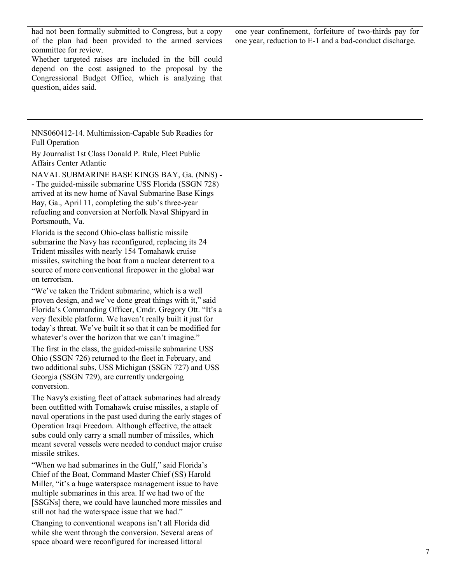had not been formally submitted to Congress, but a copy of the plan had been provided to the armed services committee for review.

Whether targeted raises are included in the bill could depend on the cost assigned to the proposal by the Congressional Budget Office, which is analyzing that question, aides said.

NNS060412-14. Multimission-Capable Sub Readies for Full Operation

By Journalist 1st Class Donald P. Rule, Fleet Public Affairs Center Atlantic

NAVAL SUBMARINE BASE KINGS BAY, Ga. (NNS) - - The guided-missile submarine USS Florida (SSGN 728) arrived at its new home of Naval Submarine Base Kings Bay, Ga., April 11, completing the sub's three-year refueling and conversion at Norfolk Naval Shipyard in Portsmouth, Va.

Florida is the second Ohio-class ballistic missile submarine the Navy has reconfigured, replacing its 24 Trident missiles with nearly 154 Tomahawk cruise missiles, switching the boat from a nuclear deterrent to a source of more conventional firepower in the global war on terrorism.

"We've taken the Trident submarine, which is a well proven design, and we've done great things with it," said Florida's Commanding Officer, Cmdr. Gregory Ott. "It's a very flexible platform. We haven't really built it just for today's threat. We've built it so that it can be modified for whatever's over the horizon that we can't imagine."

The first in the class, the guided-missile submarine USS Ohio (SSGN 726) returned to the fleet in February, and two additional subs, USS Michigan (SSGN 727) and USS Georgia (SSGN 729), are currently undergoing conversion.

The Navy's existing fleet of attack submarines had already been outfitted with Tomahawk cruise missiles, a staple of naval operations in the past used during the early stages of Operation Iraqi Freedom. Although effective, the attack subs could only carry a small number of missiles, which meant several vessels were needed to conduct major cruise missile strikes.

"When we had submarines in the Gulf," said Florida's Chief of the Boat, Command Master Chief (SS) Harold Miller, "it's a huge waterspace management issue to have multiple submarines in this area. If we had two of the [SSGNs] there, we could have launched more missiles and still not had the waterspace issue that we had."

Changing to conventional weapons isn't all Florida did while she went through the conversion. Several areas of space aboard were reconfigured for increased littoral

one year confinement, forfeiture of two-thirds pay for one year, reduction to E-1 and a bad-conduct discharge.